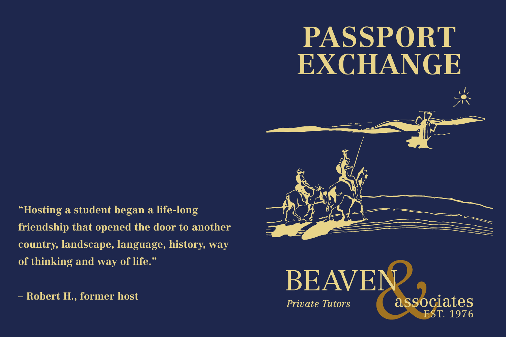# **PASSPORT EXCHANGE**



**"Hosting a student began a life-long friendship that opened the door to another country, landscape, language, history, way of thinking and way of life."** 

**– Robert H., former host**